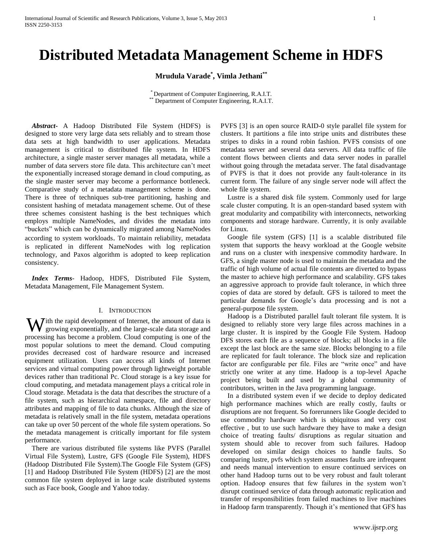# **Distributed Metadata Management Scheme in HDFS**

**Mrudula Varade\* , Vimla Jethani\*\***

\* Department of Computer Engineering, R.A.I.T. \*\* Department of Computer Engineering, R.A.I.T.

 *Abstract***-** A Hadoop Distributed File System (HDFS) is designed to store very large data sets reliably and to stream those data sets at high bandwidth to user applications. Metadata management is critical to distributed file system. In HDFS architecture, a single master server manages all metadata, while a number of data servers store file data. This architecture can't meet the exponentially increased storage demand in cloud computing, as the single master server may become a performance bottleneck. Comparative study of a metadata management scheme is done. There is three of techniques sub-tree partitioning, hashing and consistent hashing of metadata management scheme. Out of these three schemes consistent hashing is the best techniques which employs multiple NameNodes, and divides the metadata into "buckets" which can be dynamically migrated among NameNodes according to system workloads. To maintain reliability, metadata is replicated in different NameNodes with log replication technology, and Paxos algorithm is adopted to keep replication consistency.

 *Index Terms*- Hadoop, HDFS, Distributed File System, Metadata Management, File Management System.

### I. INTRODUCTION

 $\sum$  ith the rapid development of Internet, the amount of data is With the rapid development of Internet, the amount of data is growing exponentially, and the large-scale data storage and processing has become a problem. Cloud computing is one of the most popular solutions to meet the demand. Cloud computing provides decreased cost of hardware resource and increased equipment utilization. Users can access all kinds of Internet services and virtual computing power through lightweight portable devices rather than traditional Pc. Cloud storage is a key issue for cloud computing, and metadata management plays a critical role in Cloud storage. Metadata is the data that describes the structure of a file system, such as hierarchical namespace, file and directory attributes and mapping of file to data chunks. Although the size of metadata is relatively small in the file system, metadata operations can take up over 50 percent of the whole file system operations. So the metadata management is critically important for file system performance.

 There are various distributed file systems like PVFS (Parallel Virtual File System), Lustre, GFS (Google File System), HDFS (Hadoop Distributed File System).The Google File System (GFS) [1] and Hadoop Distributed File System (HDFS) [2] are the most common file system deployed in large scale distributed systems such as Face book, Google and Yahoo today.

PVFS [3] is an open source RAID-0 style parallel file system for clusters. It partitions a file into stripe units and distributes these stripes to disks in a round robin fashion. PVFS consists of one metadata server and several data servers. All data traffic of file content flows between clients and data server nodes in parallel without going through the metadata server. The fatal disadvantage of PVFS is that it does not provide any fault-tolerance in its current form. The failure of any single server node will affect the whole file system.

 Lustre is a shared disk file system. Commonly used for large scale cluster computing. It is an open-standard based system with great modularity and compatibility with interconnects, networking components and storage hardware. Currently, it is only available for Linux.

 Google file system (GFS) [1] is a scalable distributed file system that supports the heavy workload at the Google website and runs on a cluster with inexpensive commodity hardware. In GFS, a single master node is used to maintain the metadata and the traffic of high volume of actual file contents are diverted to bypass the master to achieve high performance and scalability. GFS takes an aggressive approach to provide fault tolerance, in which three copies of data are stored by default. GFS is tailored to meet the particular demands for Google's data processing and is not a general-purpose file system.

 Hadoop is a Distributed parallel fault tolerant file system. It is designed to reliably store very large files across machines in a large cluster. It is inspired by the Google File System. Hadoop DFS stores each file as a sequence of blocks; all blocks in a file except the last block are the same size. Blocks belonging to a file are replicated for fault tolerance. The block size and replication factor are configurable per file. Files are "write once" and have strictly one writer at any time. Hadoop is a top-level Apache project being built and used by a global community of contributors, written in the Java programming language.

 In a distributed system even if we decide to deploy dedicated high performance machines which are really costly, faults or disruptions are not frequent. So forerunners like Google decided to use commodity hardware which is ubiquitous and very cost effective , but to use such hardware they have to make a design choice of treating faults/ disruptions as regular situation and system should able to recover from such failures. Hadoop developed on similar design choices to handle faults. So comparing lustre, pvfs which system assumes faults are infrequent and needs manual intervention to ensure continued services on other hand Hadoop turns out to be very robust and fault tolerant option. Hadoop ensures that few failures in the system won't disrupt continued service of data through automatic replication and transfer of responsibilities from failed machines to live machines in Hadoop farm transparently. Though it's mentioned that GFS has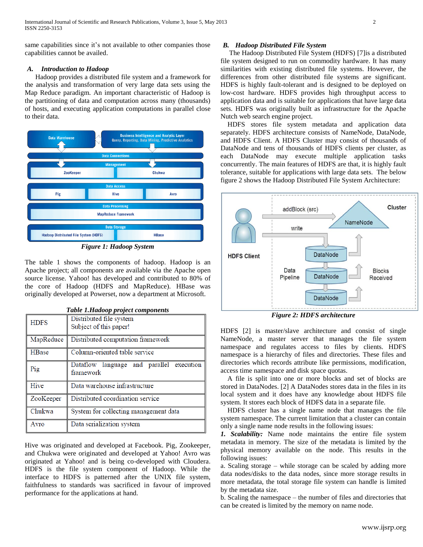same capabilities since it's not available to other companies those capabilities cannot be availed.

# *A. Introduction to Hadoop*

Hadoop provides a distributed file system and a framework for the analysis and transformation of very large data sets using the Map Reduce paradigm. An important characteristic of Hadoop is the partitioning of data and computation across many (thousands) of hosts, and executing application computations in parallel close to their data.



*Figure 1: Hadoop System*

The table 1 shows the components of hadoop. Hadoop is an Apache project; all components are available via the Apache open source license. Yahoo! has developed and contributed to 80% of the core of Hadoop (HDFS and MapReduce). HBase was originally developed at Powerset, now a department at Microsoft.

|                  | wow minuwoop project components          |  |  |  |
|------------------|------------------------------------------|--|--|--|
| <b>HDFS</b>      | Distributed file system                  |  |  |  |
|                  | Subject of this paper!                   |  |  |  |
| MapReduce        | Distributed computation framework        |  |  |  |
| HBase            | Column-oriented table service            |  |  |  |
| $\overline{Pig}$ | Dataflow language and parallel execution |  |  |  |
|                  | framework                                |  |  |  |
| Hive             | Data warehouse infrastructure            |  |  |  |
| ZooKeeper        | Distributed coordination service         |  |  |  |
| Chukwa           | System for collecting management data    |  |  |  |
| Avro             | Data serialization system                |  |  |  |

*Table 1.Hadoop project components*

Hive was originated and developed at Facebook. Pig, Zookeeper, and Chukwa were originated and developed at Yahoo! Avro was originated at Yahoo! and is being co-developed with Cloudera. HDFS is the file system component of Hadoop. While the interface to HDFS is patterned after the UNIX file system, faithfulness to standards was sacrificed in favour of improved performance for the applications at hand.

# *B. Hadoop Distributed File System*

 The Hadoop Distributed File System (HDFS) [7]is a distributed file system designed to run on commodity hardware. It has many similarities with existing distributed file systems. However, the differences from other distributed file systems are significant. HDFS is highly fault-tolerant and is designed to be deployed on low-cost hardware. HDFS provides high throughput access to application data and is suitable for applications that have large data sets. HDFS was originally built as infrastructure for the Apache Nutch web search engine project.

 HDFS stores file system metadata and application data separately. HDFS architecture consists of NameNode, DataNode, and HDFS Client. A HDFS Cluster may consist of thousands of DataNode and tens of thousands of HDFS clients per cluster, as each DataNode may execute multiple application tasks concurrently. The main features of HDFS are that, it is highly fault tolerance, suitable for applications with large data sets. The below figure 2 shows the Hadoop Distributed File System Architecture:



*Figure 2: HDFS architecture*

HDFS [2] is master/slave architecture and consist of single NameNode, a master server that manages the file system namespace and regulates access to files by clients. HDFS namespace is a hierarchy of files and directories. These files and directories which records attribute like permissions, modification, access time namespace and disk space quotas.

 A file is split into one or more blocks and set of blocks are stored in DataNodes. [2] A DataNodes stores data in the files in its local system and it does have any knowledge about HDFS file system. It stores each block of HDFS data in a separate file.

 HDFS cluster has a single name node that manages the file system namespace. The current limitation that a cluster can contain only a single name node results in the following issues:

*1. Scalability:* Name node maintains the entire file system metadata in memory. The size of the metadata is limited by the physical memory available on the node. This results in the following issues:

a. Scaling storage – while storage can be scaled by adding more data nodes/disks to the data nodes, since more storage results in more metadata, the total storage file system can handle is limited by the metadata size.

b. Scaling the namespace – the number of files and directories that can be created is limited by the memory on name node.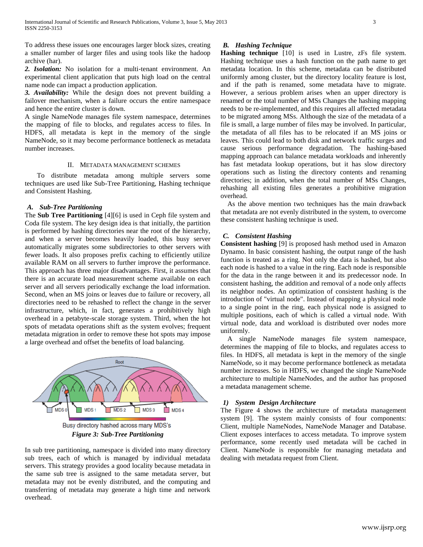To address these issues one encourages larger block sizes, creating a smaller number of larger files and using tools like the hadoop archive (har).

2. Isolation: No isolation for a multi-tenant environment. An experimental client application that puts high load on the central name node can impact a production application.

*3. Availability:* While the design does not prevent building a failover mechanism, when a failure occurs the entire namespace and hence the entire cluster is down.

A single NameNode manages file system namespace, determines the mapping of file to blocks, and regulates access to files. In HDFS, all metadata is kept in the memory of the single NameNode, so it may become performance bottleneck as metadata number increases.

#### II. METADATA MANAGEMENT SCHEMES

 To distribute metadata among multiple servers some techniques are used like Sub-Tree Partitioning, Hashing technique and Consistent Hashing.

#### *A. Sub-Tree Partitioning*

The **Sub Tree Partitioning** [4][6] is used in Ceph file system and Coda file system. The key design idea is that initially, the partition is performed by hashing directories near the root of the hierarchy, and when a server becomes heavily loaded, this busy server automatically migrates some subdirectories to other servers with fewer loads. It also proposes prefix caching to efficiently utilize available RAM on all servers to further improve the performance. This approach has three major disadvantages. First, it assumes that there is an accurate load measurement scheme available on each server and all servers periodically exchange the load information. Second, when an MS joins or leaves due to failure or recovery, all directories need to be rehashed to reflect the change in the server infrastructure, which, in fact, generates a prohibitively high overhead in a petabyte-scale storage system. Third, when the hot spots of metadata operations shift as the system evolves; frequent metadata migration in order to remove these hot spots may impose a large overhead and offset the benefits of load balancing.



In sub tree partitioning, namespace is divided into many directory sub trees, each of which is managed by individual metadata servers. This strategy provides a good locality because metadata in the same sub tree is assigned to the same metadata server, but metadata may not be evenly distributed, and the computing and transferring of metadata may generate a high time and network overhead.

# *B. Hashing Technique*

**Hashing technique** [10] is used in Lustre, zFs file system. Hashing technique uses a hash function on the path name to get metadata location. In this scheme, metadata can be distributed uniformly among cluster, but the directory locality feature is lost, and if the path is renamed, some metadata have to migrate. However, a serious problem arises when an upper directory is renamed or the total number of MSs Changes the hashing mapping needs to be re-implemented, and this requires all affected metadata to be migrated among MSs. Although the size of the metadata of a file is small, a large number of files may be involved. In particular, the metadata of all files has to be relocated if an MS joins or leaves. This could lead to both disk and network traffic surges and cause serious performance degradation. The hashing-based mapping approach can balance metadata workloads and inherently has fast metadata lookup operations, but it has slow directory operations such as listing the directory contents and renaming directories; in addition, when the total number of MSs Changes, rehashing all existing files generates a prohibitive migration overhead.

 As the above mention two techniques has the main drawback that metadata are not evenly distributed in the system, to overcome these consistent hashing technique is used.

## *C. Consistent Hashing*

**Consistent hashing** [9] is proposed hash method used in Amazon Dynamo. In basic consistent hashing, the output range of the hash function is treated as a ring. Not only the data is hashed, but also each node is hashed to a value in the ring. Each node is responsible for the data in the range between it and its predecessor node. In consistent hashing, the addition and removal of a node only affects its neighbor nodes. An optimization of consistent hashing is the introduction of "virtual node". Instead of mapping a physical node to a single point in the ring, each physical node is assigned to multiple positions, each of which is called a virtual node. With virtual node, data and workload is distributed over nodes more uniformly.

 A single NameNode manages file system namespace, determines the mapping of file to blocks, and regulates access to files. In HDFS, all metadata is kept in the memory of the single NameNode, so it may become performance bottleneck as metadata number increases. So in HDFS, we changed the single NameNode architecture to multiple NameNodes, and the author has proposed a metadata management scheme.

### *1) System Design Architecture*

The Figure 4 shows the architecture of metadata management system [9]. The system mainly consists of four components: Client, multiple NameNodes, NameNode Manager and Database. Client exposes interfaces to access metadata. To improve system performance, some recently used metadata will be cached in Client. NameNode is responsible for managing metadata and dealing with metadata request from Client.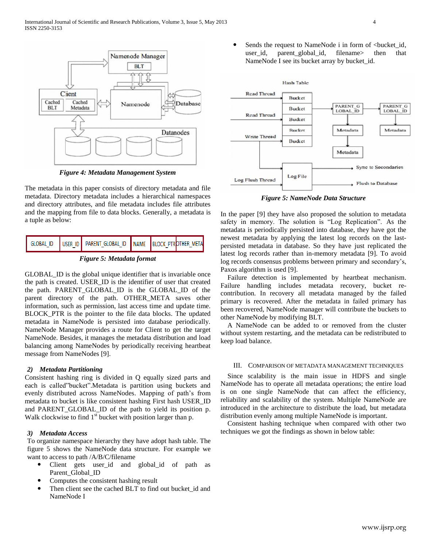

*Figure 4: Metadata Management System* 

The metadata in this paper consists of directory metadata and file metadata. Directory metadata includes a hierarchical namespaces and directory attributes, and file metadata includes file attributes and the mapping from file to data blocks. Generally, a metadata is a tuple as below:

|  |  | GLOBAL_ID   USER ID   PARENT_GLOBAL_ID   NAME   BLOCK PTROTHER_META |  |  |  |  |
|--|--|---------------------------------------------------------------------|--|--|--|--|
|  |  |                                                                     |  |  |  |  |



GLOBAL\_ID is the global unique identifier that is invariable once the path is created. USER\_ID is the identifier of user that created the path. PARENT\_GLOBAL\_ID is the GLOBAL\_ID of the parent directory of the path. OTHER\_META saves other information, such as permission, last access time and update time. BLOCK\_PTR is the pointer to the file data blocks. The updated metadata in NameNode is persisted into database periodically. NameNode Manager provides a route for Client to get the target NameNode. Besides, it manages the metadata distribution and load balancing among NameNodes by periodically receiving heartbeat message from NameNodes [9].

# *2) Metadata Partitioning*

Consistent hashing ring is divided in Q equally sized parts and each is called"bucket".Metadata is partition using buckets and evenly distributed across NameNodes. Mapping of path's from metadata to bucket is like consistent hashing First hash USER\_ID and PARENT\_GLOBAL\_ID of the path to yield its position p. Walk clockwise to find  $1<sup>st</sup>$  bucket with position larger than p.

# *3) Metadata Access*

To organize namespace hierarchy they have adopt hash table. The figure 5 shows the NameNode data structure. For example we want to access to path /A/B/C/filename

- Client gets user\_id and global\_id of path as Parent Global ID
- Computes the consistent hashing result
- Then client see the cached BLT to find out bucket id and NameNode I

Sends the request to NameNode i in form of <br/> <br/> <br/> <br/> <br/> <br/>Aucket\_id, user\_id, parent\_global\_id, filename> then that NameNode I see its bucket array by bucket\_id.



*Figure 5: NameNode Data Structure*

In the paper [9] they have also proposed the solution to metadata safety in memory. The solution is "Log Replication". As the metadata is periodically persisted into database, they have got the newest metadata by applying the latest log records on the lastpersisted metadata in database. So they have just replicated the latest log records rather than in-memory metadata [9]. To avoid log records consensus problems between primary and secondary's, Paxos algorithm is used [9].

 Failure detection is implemented by heartbeat mechanism. Failure handling includes metadata recovery, bucket recontribution. In recovery all metadata managed by the failed primary is recovered. After the metadata in failed primary has been recovered, NameNode manager will contribute the buckets to other NameNode by modifying BLT.

 A NameNode can be added to or removed from the cluster without system restarting, and the metadata can be redistributed to keep load balance.

#### III. COMPARISON OF METADATA MANAGEMENT TECHNIQUES

 Since scalability is the main issue in HDFS and single NameNode has to operate all metadata operations; the entire load is on one single NameNode that can affect the efficiency, reliability and scalability of the system. Multiple NameNode are introduced in the architecture to distribute the load, but metadata distribution evenly among multiple NameNode is important.

 Consistent hashing technique when compared with other two techniques we got the findings as shown in below table: